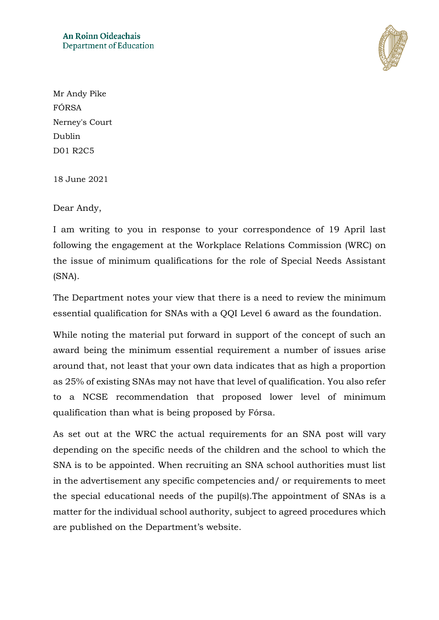

Mr Andy Pike FÓRSA Nerney's Court Dublin D01 R2C5

18 June 2021

Dear Andy,

I am writing to you in response to your correspondence of 19 April last following the engagement at the Workplace Relations Commission (WRC) on the issue of minimum qualifications for the role of Special Needs Assistant (SNA).

The Department notes your view that there is a need to review the minimum essential qualification for SNAs with a QQI Level 6 award as the foundation.

While noting the material put forward in support of the concept of such an award being the minimum essential requirement a number of issues arise around that, not least that your own data indicates that as high a proportion as 25% of existing SNAs may not have that level of qualification. You also refer to a NCSE recommendation that proposed lower level of minimum qualification than what is being proposed by Fórsa.

As set out at the WRC the actual requirements for an SNA post will vary depending on the specific needs of the children and the school to which the SNA is to be appointed. When recruiting an SNA school authorities must list in the advertisement any specific competencies and/ or requirements to meet the special educational needs of the pupil(s).The appointment of SNAs is a matter for the individual school authority, subject to agreed procedures which are published on the Department's website.